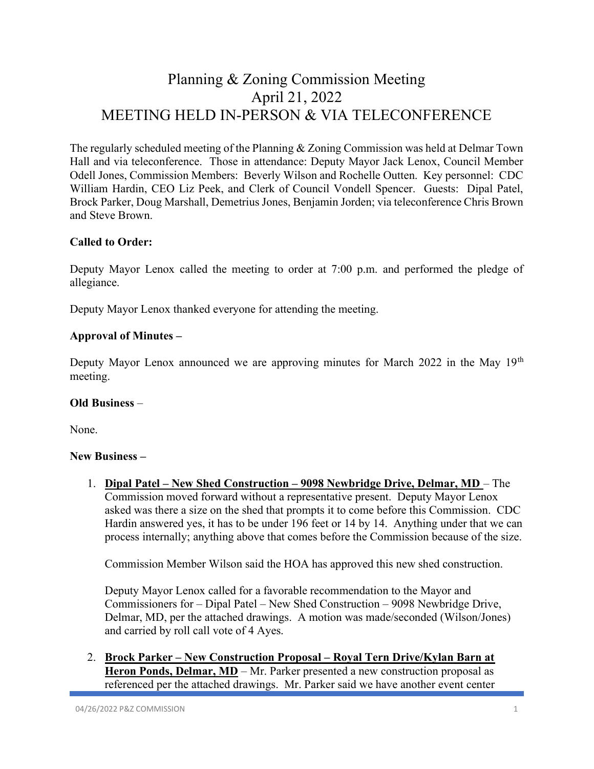# Planning & Zoning Commission Meeting April 21, 2022 MEETING HELD IN-PERSON & VIA TELECONFERENCE

The regularly scheduled meeting of the Planning & Zoning Commission was held at Delmar Town Hall and via teleconference. Those in attendance: Deputy Mayor Jack Lenox, Council Member Odell Jones, Commission Members: Beverly Wilson and Rochelle Outten. Key personnel: CDC William Hardin, CEO Liz Peek, and Clerk of Council Vondell Spencer. Guests: Dipal Patel, Brock Parker, Doug Marshall, Demetrius Jones, Benjamin Jorden; via teleconference Chris Brown and Steve Brown.

## Called to Order:

Deputy Mayor Lenox called the meeting to order at 7:00 p.m. and performed the pledge of allegiance.

Deputy Mayor Lenox thanked everyone for attending the meeting.

### Approval of Minutes –

Deputy Mayor Lenox announced we are approving minutes for March 2022 in the May  $19<sup>th</sup>$ meeting.

#### Old Business –

None.

#### New Business –

1. Dipal Patel – New Shed Construction – 9098 Newbridge Drive, Delmar, MD – The Commission moved forward without a representative present. Deputy Mayor Lenox asked was there a size on the shed that prompts it to come before this Commission. CDC Hardin answered yes, it has to be under 196 feet or 14 by 14. Anything under that we can process internally; anything above that comes before the Commission because of the size.

Commission Member Wilson said the HOA has approved this new shed construction.

 Deputy Mayor Lenox called for a favorable recommendation to the Mayor and Commissioners for – Dipal Patel – New Shed Construction – 9098 Newbridge Drive, Delmar, MD, per the attached drawings. A motion was made/seconded (Wilson/Jones) and carried by roll call vote of 4 Ayes.

2. Brock Parker – New Construction Proposal – Royal Tern Drive/Kylan Barn at Heron Ponds, Delmar, MD – Mr. Parker presented a new construction proposal as referenced per the attached drawings. Mr. Parker said we have another event center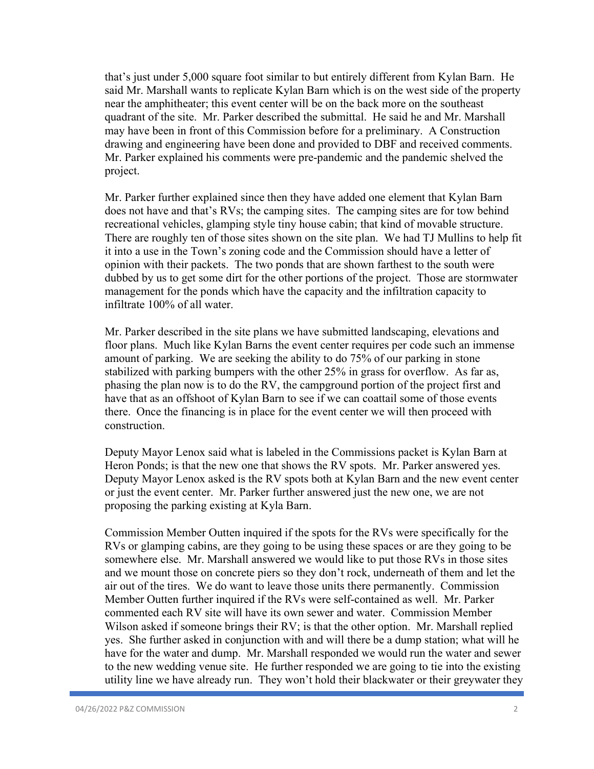that's just under 5,000 square foot similar to but entirely different from Kylan Barn. He said Mr. Marshall wants to replicate Kylan Barn which is on the west side of the property near the amphitheater; this event center will be on the back more on the southeast quadrant of the site. Mr. Parker described the submittal. He said he and Mr. Marshall may have been in front of this Commission before for a preliminary. A Construction drawing and engineering have been done and provided to DBF and received comments. Mr. Parker explained his comments were pre-pandemic and the pandemic shelved the project.

Mr. Parker further explained since then they have added one element that Kylan Barn does not have and that's RVs; the camping sites. The camping sites are for tow behind recreational vehicles, glamping style tiny house cabin; that kind of movable structure. There are roughly ten of those sites shown on the site plan. We had TJ Mullins to help fit it into a use in the Town's zoning code and the Commission should have a letter of opinion with their packets. The two ponds that are shown farthest to the south were dubbed by us to get some dirt for the other portions of the project. Those are stormwater management for the ponds which have the capacity and the infiltration capacity to infiltrate 100% of all water.

Mr. Parker described in the site plans we have submitted landscaping, elevations and floor plans. Much like Kylan Barns the event center requires per code such an immense amount of parking. We are seeking the ability to do 75% of our parking in stone stabilized with parking bumpers with the other 25% in grass for overflow. As far as, phasing the plan now is to do the RV, the campground portion of the project first and have that as an offshoot of Kylan Barn to see if we can coattail some of those events there. Once the financing is in place for the event center we will then proceed with construction.

Deputy Mayor Lenox said what is labeled in the Commissions packet is Kylan Barn at Heron Ponds; is that the new one that shows the RV spots. Mr. Parker answered yes. Deputy Mayor Lenox asked is the RV spots both at Kylan Barn and the new event center or just the event center. Mr. Parker further answered just the new one, we are not proposing the parking existing at Kyla Barn.

Commission Member Outten inquired if the spots for the RVs were specifically for the RVs or glamping cabins, are they going to be using these spaces or are they going to be somewhere else. Mr. Marshall answered we would like to put those RVs in those sites and we mount those on concrete piers so they don't rock, underneath of them and let the air out of the tires. We do want to leave those units there permanently. Commission Member Outten further inquired if the RVs were self-contained as well. Mr. Parker commented each RV site will have its own sewer and water. Commission Member Wilson asked if someone brings their RV; is that the other option. Mr. Marshall replied yes. She further asked in conjunction with and will there be a dump station; what will he have for the water and dump. Mr. Marshall responded we would run the water and sewer to the new wedding venue site. He further responded we are going to tie into the existing utility line we have already run. They won't hold their blackwater or their greywater they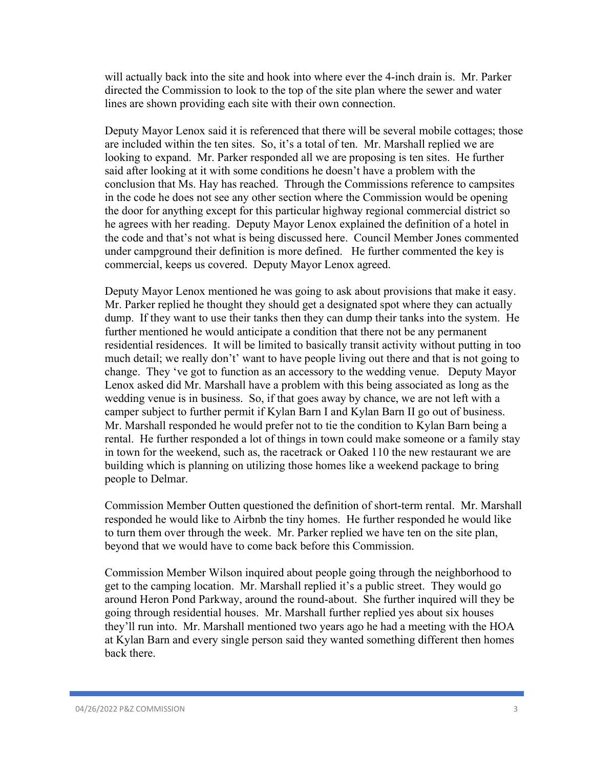will actually back into the site and hook into where ever the 4-inch drain is. Mr. Parker directed the Commission to look to the top of the site plan where the sewer and water lines are shown providing each site with their own connection.

Deputy Mayor Lenox said it is referenced that there will be several mobile cottages; those are included within the ten sites. So, it's a total of ten. Mr. Marshall replied we are looking to expand. Mr. Parker responded all we are proposing is ten sites. He further said after looking at it with some conditions he doesn't have a problem with the conclusion that Ms. Hay has reached. Through the Commissions reference to campsites in the code he does not see any other section where the Commission would be opening the door for anything except for this particular highway regional commercial district so he agrees with her reading. Deputy Mayor Lenox explained the definition of a hotel in the code and that's not what is being discussed here. Council Member Jones commented under campground their definition is more defined. He further commented the key is commercial, keeps us covered. Deputy Mayor Lenox agreed.

Deputy Mayor Lenox mentioned he was going to ask about provisions that make it easy. Mr. Parker replied he thought they should get a designated spot where they can actually dump. If they want to use their tanks then they can dump their tanks into the system. He further mentioned he would anticipate a condition that there not be any permanent residential residences. It will be limited to basically transit activity without putting in too much detail; we really don't' want to have people living out there and that is not going to change. They 've got to function as an accessory to the wedding venue. Deputy Mayor Lenox asked did Mr. Marshall have a problem with this being associated as long as the wedding venue is in business. So, if that goes away by chance, we are not left with a camper subject to further permit if Kylan Barn I and Kylan Barn II go out of business. Mr. Marshall responded he would prefer not to tie the condition to Kylan Barn being a rental. He further responded a lot of things in town could make someone or a family stay in town for the weekend, such as, the racetrack or Oaked 110 the new restaurant we are building which is planning on utilizing those homes like a weekend package to bring people to Delmar.

Commission Member Outten questioned the definition of short-term rental. Mr. Marshall responded he would like to Airbnb the tiny homes. He further responded he would like to turn them over through the week. Mr. Parker replied we have ten on the site plan, beyond that we would have to come back before this Commission.

Commission Member Wilson inquired about people going through the neighborhood to get to the camping location. Mr. Marshall replied it's a public street. They would go around Heron Pond Parkway, around the round-about. She further inquired will they be going through residential houses. Mr. Marshall further replied yes about six houses they'll run into. Mr. Marshall mentioned two years ago he had a meeting with the HOA at Kylan Barn and every single person said they wanted something different then homes back there.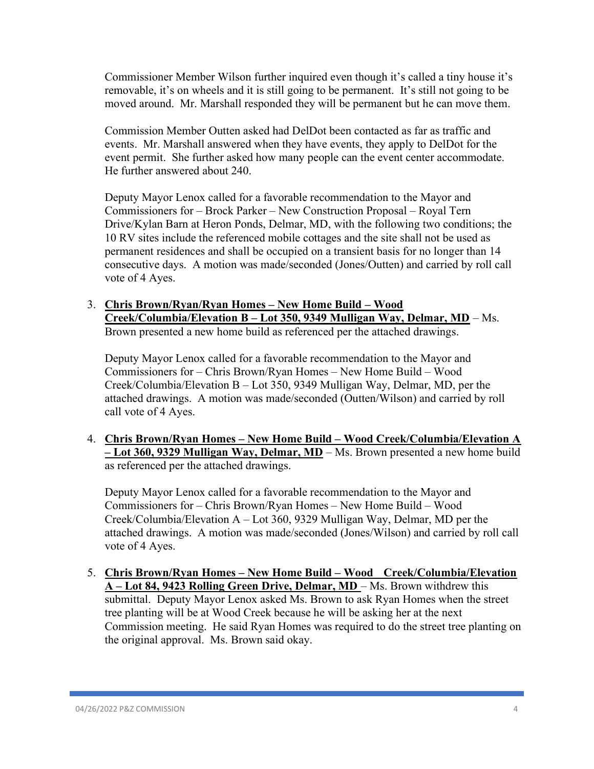Commissioner Member Wilson further inquired even though it's called a tiny house it's removable, it's on wheels and it is still going to be permanent. It's still not going to be moved around. Mr. Marshall responded they will be permanent but he can move them.

Commission Member Outten asked had DelDot been contacted as far as traffic and events. Mr. Marshall answered when they have events, they apply to DelDot for the event permit. She further asked how many people can the event center accommodate. He further answered about 240.

Deputy Mayor Lenox called for a favorable recommendation to the Mayor and Commissioners for – Brock Parker – New Construction Proposal – Royal Tern Drive/Kylan Barn at Heron Ponds, Delmar, MD, with the following two conditions; the 10 RV sites include the referenced mobile cottages and the site shall not be used as permanent residences and shall be occupied on a transient basis for no longer than 14 consecutive days. A motion was made/seconded (Jones/Outten) and carried by roll call vote of 4 Ayes.

3. Chris Brown/Ryan/Ryan Homes – New Home Build – Wood Creek/Columbia/Elevation B – Lot 350, 9349 Mulligan Way, Delmar, MD – Ms. Brown presented a new home build as referenced per the attached drawings.

Deputy Mayor Lenox called for a favorable recommendation to the Mayor and Commissioners for – Chris Brown/Ryan Homes – New Home Build – Wood Creek/Columbia/Elevation B – Lot 350, 9349 Mulligan Way, Delmar, MD, per the attached drawings. A motion was made/seconded (Outten/Wilson) and carried by roll call vote of 4 Ayes.

4. Chris Brown/Ryan Homes – New Home Build – Wood Creek/Columbia/Elevation A – Lot 360, 9329 Mulligan Way, Delmar, MD – Ms. Brown presented a new home build as referenced per the attached drawings.

Deputy Mayor Lenox called for a favorable recommendation to the Mayor and Commissioners for – Chris Brown/Ryan Homes – New Home Build – Wood Creek/Columbia/Elevation A – Lot 360, 9329 Mulligan Way, Delmar, MD per the attached drawings. A motion was made/seconded (Jones/Wilson) and carried by roll call vote of 4 Ayes.

5. Chris Brown/Ryan Homes – New Home Build – Wood Creek/Columbia/Elevation A – Lot 84, 9423 Rolling Green Drive, Delmar, MD – Ms. Brown withdrew this submittal. Deputy Mayor Lenox asked Ms. Brown to ask Ryan Homes when the street tree planting will be at Wood Creek because he will be asking her at the next Commission meeting. He said Ryan Homes was required to do the street tree planting on the original approval. Ms. Brown said okay.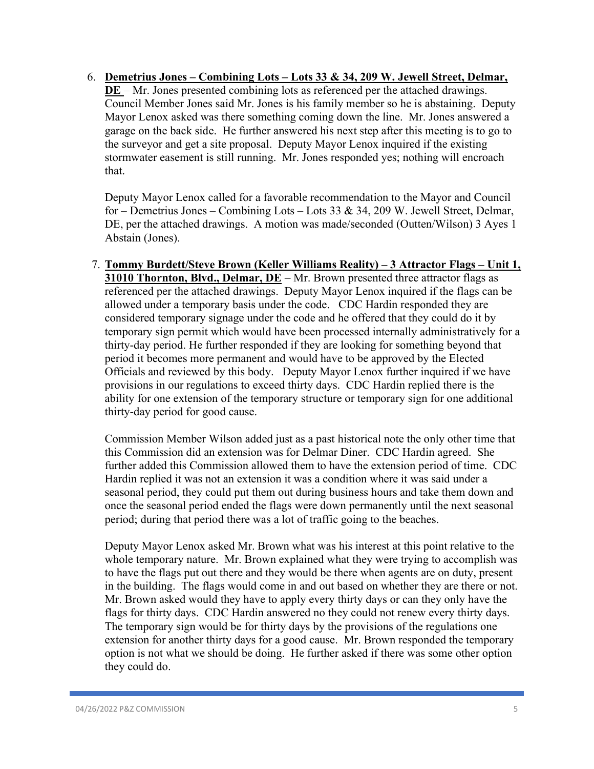6. Demetrius Jones – Combining Lots – Lots 33 & 34, 209 W. Jewell Street, Delmar, DE – Mr. Jones presented combining lots as referenced per the attached drawings. Council Member Jones said Mr. Jones is his family member so he is abstaining. Deputy Mayor Lenox asked was there something coming down the line. Mr. Jones answered a garage on the back side. He further answered his next step after this meeting is to go to the surveyor and get a site proposal. Deputy Mayor Lenox inquired if the existing stormwater easement is still running. Mr. Jones responded yes; nothing will encroach that.

Deputy Mayor Lenox called for a favorable recommendation to the Mayor and Council for – Demetrius Jones – Combining Lots – Lots 33 & 34, 209 W. Jewell Street, Delmar, DE, per the attached drawings. A motion was made/seconded (Outten/Wilson) 3 Ayes 1 Abstain (Jones).

7. Tommy Burdett/Steve Brown (Keller Williams Reality) – 3 Attractor Flags – Unit 1, 31010 Thornton, Blvd., Delmar, DE – Mr. Brown presented three attractor flags as referenced per the attached drawings. Deputy Mayor Lenox inquired if the flags can be allowed under a temporary basis under the code. CDC Hardin responded they are considered temporary signage under the code and he offered that they could do it by temporary sign permit which would have been processed internally administratively for a thirty-day period. He further responded if they are looking for something beyond that period it becomes more permanent and would have to be approved by the Elected Officials and reviewed by this body. Deputy Mayor Lenox further inquired if we have provisions in our regulations to exceed thirty days. CDC Hardin replied there is the ability for one extension of the temporary structure or temporary sign for one additional thirty-day period for good cause.

Commission Member Wilson added just as a past historical note the only other time that this Commission did an extension was for Delmar Diner. CDC Hardin agreed. She further added this Commission allowed them to have the extension period of time. CDC Hardin replied it was not an extension it was a condition where it was said under a seasonal period, they could put them out during business hours and take them down and once the seasonal period ended the flags were down permanently until the next seasonal period; during that period there was a lot of traffic going to the beaches.

Deputy Mayor Lenox asked Mr. Brown what was his interest at this point relative to the whole temporary nature. Mr. Brown explained what they were trying to accomplish was to have the flags put out there and they would be there when agents are on duty, present in the building. The flags would come in and out based on whether they are there or not. Mr. Brown asked would they have to apply every thirty days or can they only have the flags for thirty days. CDC Hardin answered no they could not renew every thirty days. The temporary sign would be for thirty days by the provisions of the regulations one extension for another thirty days for a good cause. Mr. Brown responded the temporary option is not what we should be doing. He further asked if there was some other option they could do.